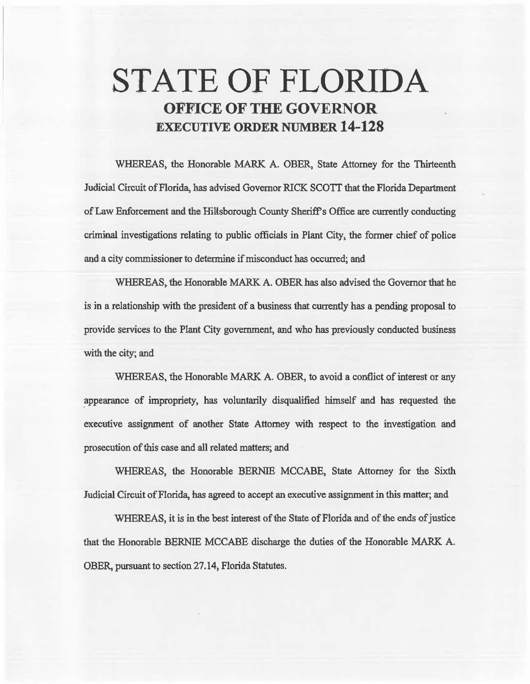# STATE OF FLORIDA OFFICE OF THE GOVERNOR EXECUTIVE ORDER NUMBER 14-128

WHEREAS, the Honorable MARK A. OBER, State Attorney for the Thirteenth Judicial Circuit of Florida, has advised Governor RICK *SCOTT* that the Florida Department of Law Enforcement and the Hillsborough County Sheriff's Office are currently conducting criminal investigations relating to public officials in Plant City, the fonner chief of police and a city commissioner to determine if misconduct has occurred; and

WHEREAS, the Honorable MARK A. OBER has also advised the Governor that he is in a relationship with the president of a business that currently has a pending proposal to provide services to the Plant City government, and who has previously conducted business with the city; and

WHEREAS, the Honorable MARK A. OBER, to avoid a conflict of interest or any \_appearance of impropriety, has voluntarily disqualified himself and has requested the executive assignment of another State Attomey with respect to the investigation and prosecution of this case and all related matters; and

WHEREAS, the Honorable BERNIE MCCABE, State Attorney for the Sixth Judicial Circait of Florida, has agreed to accept an executive assignment in this matter; and

WHEREAS, it is in the best interest of the State of Florida and of the ends of justice that the Honorable BERNIE MCCABE discharge the duties of the Honorable MARK A. OBER, pursuant to section 27.14, Florida Statutes.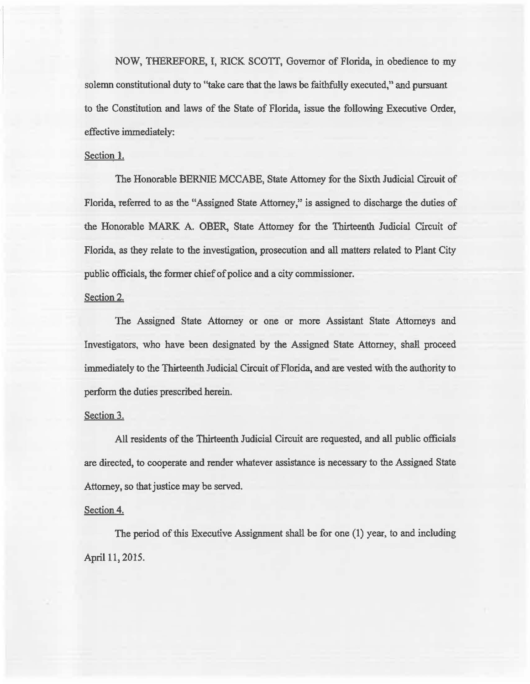NOW, THEREFORE, I, RICK SCOTI, Governor of Florida, in obedience to my solemn constitutional duty to ''take care that the laws be faithfully executed,'' and pursuant to the Constitution and laws of the State of Florida, issue the following Executive Order, effective immediately:

## Section 1.

The Honorable BERNIE MCCABE, State Attorney for the Sixth Judicial Circuit of Florida, referred to as the "Assigned State Attorney,'' is assigned to discharge the duties of the Honorable MARK A. OBER, State Attorney for the Thirteenth Judicial Circuit of Florida, as they relate to the investigation, prosecution and all matters related to Plant City public officials, the former chief of police and a city commissioner.

### Section 2.

The Assigned State Attorney or one or more Assistant State Attorneys and Investigators, who have been designated by the Assigned State Attorney, shall proceed immediately to the Thirteenth Judicial Circuit of Florida, and are vested with the authority to perform the duties prescribed herein.

#### Section 3.

Al'l residents of the Thirteenth Judicial Circuit are requested, and all public officials are directed, to cooperate and render whatever assistance is necessary to the Assigned State Attorney, so that justice may be served.

## Section 4.

The period of this Executive Assigmnent shal1 be for one (1) year, to and including April 11, 2015.